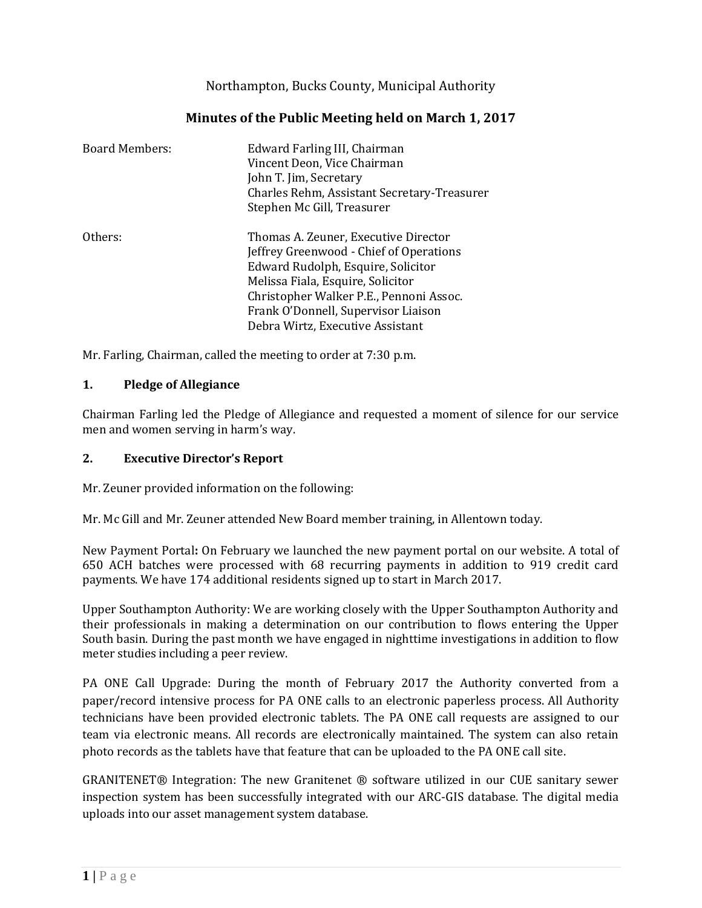Northampton, Bucks County, Municipal Authority

# **Minutes of the Public Meeting held on March 1, 2017**

| <b>Board Members:</b> | Edward Farling III, Chairman<br>Vincent Deon, Vice Chairman<br>John T. Jim, Secretary<br>Charles Rehm, Assistant Secretary-Treasurer<br>Stephen Mc Gill, Treasurer                                                                                                               |
|-----------------------|----------------------------------------------------------------------------------------------------------------------------------------------------------------------------------------------------------------------------------------------------------------------------------|
| Others:               | Thomas A. Zeuner, Executive Director<br>Jeffrey Greenwood - Chief of Operations<br>Edward Rudolph, Esquire, Solicitor<br>Melissa Fiala, Esquire, Solicitor<br>Christopher Walker P.E., Pennoni Assoc.<br>Frank O'Donnell, Supervisor Liaison<br>Debra Wirtz, Executive Assistant |

Mr. Farling, Chairman, called the meeting to order at 7:30 p.m.

# **1. Pledge of Allegiance**

Chairman Farling led the Pledge of Allegiance and requested a moment of silence for our service men and women serving in harm's way.

# **2. Executive Director's Report**

Mr. Zeuner provided information on the following:

Mr. Mc Gill and Mr. Zeuner attended New Board member training, in Allentown today.

New Payment Portal**:** On February we launched the new payment portal on our website. A total of 650 ACH batches were processed with 68 recurring payments in addition to 919 credit card payments. We have 174 additional residents signed up to start in March 2017.

Upper Southampton Authority: We are working closely with the Upper Southampton Authority and their professionals in making a determination on our contribution to flows entering the Upper South basin. During the past month we have engaged in nighttime investigations in addition to flow meter studies including a peer review.

PA ONE Call Upgrade: During the month of February 2017 the Authority converted from a paper/record intensive process for PA ONE calls to an electronic paperless process. All Authority technicians have been provided electronic tablets. The PA ONE call requests are assigned to our team via electronic means. All records are electronically maintained. The system can also retain photo records as the tablets have that feature that can be uploaded to the PA ONE call site.

GRANITENET® Integration: The new Granitenet ® software utilized in our CUE sanitary sewer inspection system has been successfully integrated with our ARC-GIS database. The digital media uploads into our asset management system database.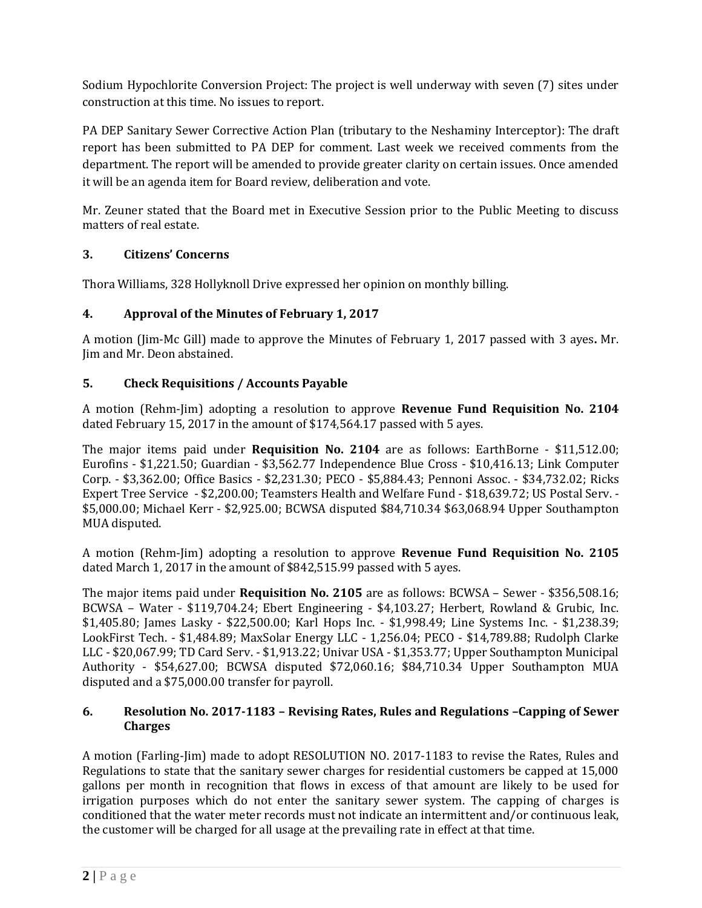Sodium Hypochlorite Conversion Project: The project is well underway with seven (7) sites under construction at this time. No issues to report.

PA DEP Sanitary Sewer Corrective Action Plan (tributary to the Neshaminy Interceptor): The draft report has been submitted to PA DEP for comment. Last week we received comments from the department. The report will be amended to provide greater clarity on certain issues. Once amended it will be an agenda item for Board review, deliberation and vote.

Mr. Zeuner stated that the Board met in Executive Session prior to the Public Meeting to discuss matters of real estate.

# **3. Citizens' Concerns**

Thora Williams, 328 Hollyknoll Drive expressed her opinion on monthly billing.

# **4. Approval of the Minutes of February 1, 2017**

A motion (Jim-Mc Gill) made to approve the Minutes of February 1, 2017 passed with 3 ayes**.** Mr. Jim and Mr. Deon abstained.

# **5. Check Requisitions / Accounts Payable**

A motion (Rehm-Jim) adopting a resolution to approve **Revenue Fund Requisition No. 2104** dated February 15, 2017 in the amount of \$174,564.17 passed with 5 ayes.

The major items paid under **Requisition No. 2104** are as follows: EarthBorne - \$11,512.00; Eurofins - \$1,221.50; Guardian - \$3,562.77 Independence Blue Cross - \$10,416.13; Link Computer Corp. - \$3,362.00; Office Basics - \$2,231.30; PECO - \$5,884.43; Pennoni Assoc. - \$34,732.02; Ricks Expert Tree Service - \$2,200.00; Teamsters Health and Welfare Fund - \$18,639.72; US Postal Serv. - \$5,000.00; Michael Kerr - \$2,925.00; BCWSA disputed \$84,710.34 \$63,068.94 Upper Southampton MUA disputed.

A motion (Rehm-Jim) adopting a resolution to approve **Revenue Fund Requisition No. 2105**  dated March 1, 2017 in the amount of \$842,515.99 passed with 5 ayes.

The major items paid under **Requisition No. 2105** are as follows: BCWSA – Sewer - \$356,508.16; BCWSA – Water - \$119,704.24; Ebert Engineering - \$4,103.27; Herbert, Rowland & Grubic, Inc. \$1,405.80; James Lasky - \$22,500.00; Karl Hops Inc. - \$1,998.49; Line Systems Inc. - \$1,238.39; LookFirst Tech. - \$1,484.89; MaxSolar Energy LLC - 1,256.04; PECO - \$14,789.88; Rudolph Clarke LLC - \$20,067.99; TD Card Serv. - \$1,913.22; Univar USA - \$1,353.77; Upper Southampton Municipal Authority - \$54,627.00; BCWSA disputed \$72,060.16; \$84,710.34 Upper Southampton MUA disputed and a \$75,000.00 transfer for payroll.

# **6. Resolution No. 2017-1183 – Revising Rates, Rules and Regulations –Capping of Sewer Charges**

A motion (Farling-Jim) made to adopt RESOLUTION NO. 2017-1183 to revise the Rates, Rules and Regulations to state that the sanitary sewer charges for residential customers be capped at 15,000 gallons per month in recognition that flows in excess of that amount are likely to be used for irrigation purposes which do not enter the sanitary sewer system. The capping of charges is conditioned that the water meter records must not indicate an intermittent and/or continuous leak, the customer will be charged for all usage at the prevailing rate in effect at that time.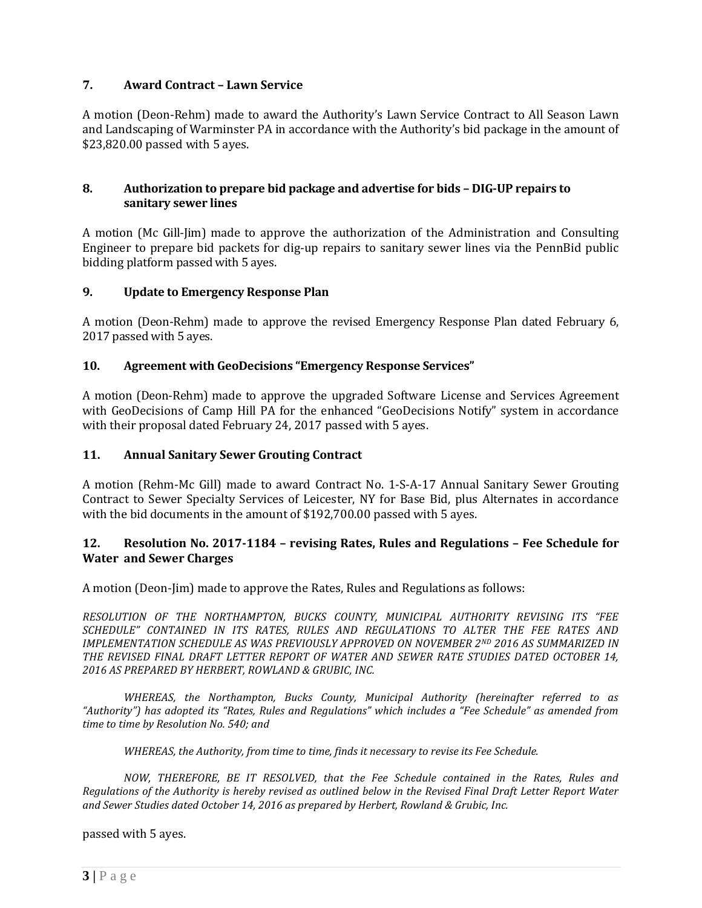# **7. Award Contract – Lawn Service**

A motion (Deon-Rehm) made to award the Authority's Lawn Service Contract to All Season Lawn and Landscaping of Warminster PA in accordance with the Authority's bid package in the amount of \$23,820.00 passed with 5 ayes.

### **8. Authorization to prepare bid package and advertise for bids – DIG-UP repairs to sanitary sewer lines**

A motion (Mc Gill-Jim) made to approve the authorization of the Administration and Consulting Engineer to prepare bid packets for dig-up repairs to sanitary sewer lines via the PennBid public bidding platform passed with 5 ayes.

# **9. Update to Emergency Response Plan**

A motion (Deon-Rehm) made to approve the revised Emergency Response Plan dated February 6, 2017 passed with 5 ayes.

### **10. Agreement with GeoDecisions "Emergency Response Services"**

A motion (Deon-Rehm) made to approve the upgraded Software License and Services Agreement with GeoDecisions of Camp Hill PA for the enhanced "GeoDecisions Notify" system in accordance with their proposal dated February 24, 2017 passed with 5 ayes.

#### **11. Annual Sanitary Sewer Grouting Contract**

A motion (Rehm-Mc Gill) made to award Contract No. 1-S-A-17 Annual Sanitary Sewer Grouting Contract to Sewer Specialty Services of Leicester, NY for Base Bid, plus Alternates in accordance with the bid documents in the amount of \$192,700.00 passed with 5 ayes.

### **12. Resolution No. 2017-1184 – revising Rates, Rules and Regulations – Fee Schedule for Water and Sewer Charges**

A motion (Deon-Jim) made to approve the Rates, Rules and Regulations as follows:

*RESOLUTION OF THE NORTHAMPTON, BUCKS COUNTY, MUNICIPAL AUTHORITY REVISING ITS "FEE SCHEDULE" CONTAINED IN ITS RATES, RULES AND REGULATIONS TO ALTER THE FEE RATES AND IMPLEMENTATION SCHEDULE AS WAS PREVIOUSLY APPROVED ON NOVEMBER 2ND 2016 AS SUMMARIZED IN THE REVISED FINAL DRAFT LETTER REPORT OF WATER AND SEWER RATE STUDIES DATED OCTOBER 14, 2016 AS PREPARED BY HERBERT, ROWLAND & GRUBIC, INC.* 

*WHEREAS, the Northampton, Bucks County, Municipal Authority (hereinafter referred to as "Authority") has adopted its "Rates, Rules and Regulations" which includes a "Fee Schedule" as amended from time to time by Resolution No. 540; and*

*WHEREAS, the Authority, from time to time, finds it necessary to revise its Fee Schedule.*

*NOW, THEREFORE, BE IT RESOLVED, that the Fee Schedule contained in the Rates, Rules and Regulations of the Authority is hereby revised as outlined below in the Revised Final Draft Letter Report Water and Sewer Studies dated October 14, 2016 as prepared by Herbert, Rowland & Grubic, Inc.*

passed with 5 ayes.